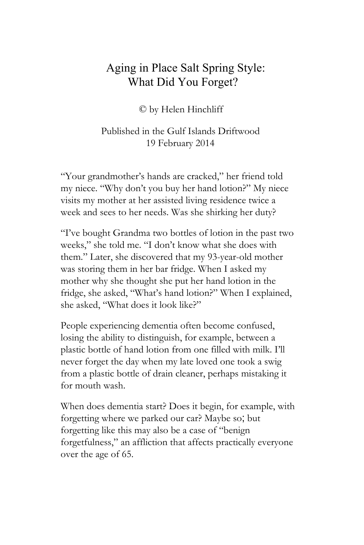## Aging in Place Salt Spring Style: What Did You Forget?

© by Helen Hinchliff

## Published in the Gulf Islands Driftwood 19 February 2014

"Your grandmother's hands are cracked," her friend told my niece. "Why don't you buy her hand lotion?" My niece visits my mother at her assisted living residence twice a week and sees to her needs. Was she shirking her duty?

"I've bought Grandma two bottles of lotion in the past two weeks," she told me. "I don't know what she does with them." Later, she discovered that my 93-year-old mother was storing them in her bar fridge. When I asked my mother why she thought she put her hand lotion in the fridge, she asked, "What's hand lotion?" When I explained, she asked, "What does it look like?"

People experiencing dementia often become confused, losing the ability to distinguish, for example, between a plastic bottle of hand lotion from one filled with milk. I'll never forget the day when my late loved one took a swig from a plastic bottle of drain cleaner, perhaps mistaking it for mouth wash.

When does dementia start? Does it begin, for example, with forgetting where we parked our car? Maybe so; but forgetting like this may also be a case of "benign forgetfulness," an affliction that affects practically everyone over the age of 65.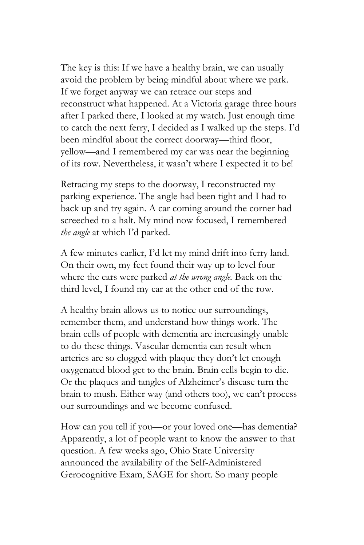The key is this: If we have a healthy brain, we can usually avoid the problem by being mindful about where we park. If we forget anyway we can retrace our steps and reconstruct what happened. At a Victoria garage three hours after I parked there, I looked at my watch. Just enough time to catch the next ferry, I decided as I walked up the steps. I'd been mindful about the correct doorway—third floor, yellow—and I remembered my car was near the beginning of its row. Nevertheless, it wasn't where I expected it to be!

Retracing my steps to the doorway, I reconstructed my parking experience. The angle had been tight and I had to back up and try again. A car coming around the corner had screeched to a halt. My mind now focused, I remembered *the angle* at which I'd parked.

A few minutes earlier, I'd let my mind drift into ferry land. On their own, my feet found their way up to level four where the cars were parked *at the wrong angle.* Back on the third level, I found my car at the other end of the row.

A healthy brain allows us to notice our surroundings, remember them, and understand how things work. The brain cells of people with dementia are increasingly unable to do these things. Vascular dementia can result when arteries are so clogged with plaque they don't let enough oxygenated blood get to the brain. Brain cells begin to die. Or the plaques and tangles of Alzheimer's disease turn the brain to mush. Either way (and others too), we can't process our surroundings and we become confused.

How can you tell if you—or your loved one—has dementia? Apparently, a lot of people want to know the answer to that question. A few weeks ago, Ohio State University announced the availability of the Self-Administered Gerocognitive Exam, SAGE for short. So many people